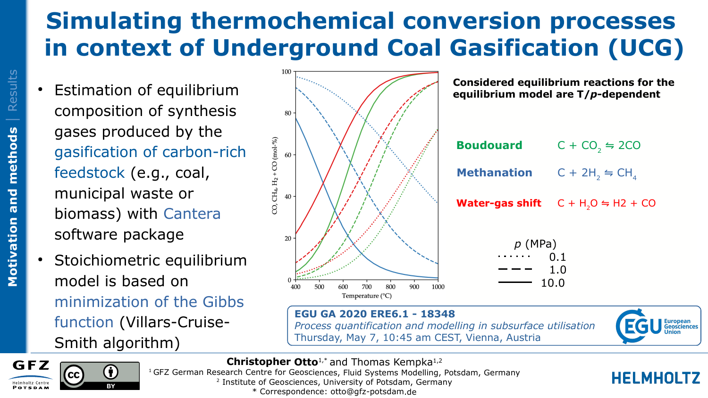## **Simulating thermochemical conversion processes in context of Underground Coal Gasification (UCG)**

- **Estimation of equilibrium** composition of synthesis gases produced by the gasification of carbon-rich feedstock (e.g., coal, municipal waste or biomass) with Cantera software package
- Stoichiometric equilibrium model is based on minimization of the Gibbs function (Villars-Cruise-Smith algorithm)



**Considered equilibrium reactions for the equilibrium model are T/***p***-dependent**

|           | <b>Boudouard</b>                | $C + CO2 \approx 2CO$                                    |
|-----------|---------------------------------|----------------------------------------------------------|
|           | <b>Methanation</b>              | $C + 2H_2 \approx CH_4$                                  |
|           |                                 | <b>Water-gas shift</b> $C + H2O \Leftrightarrow H2 + CO$ |
| Ю<br>1000 | $p$ (MPa)<br>0.1<br>1.0<br>10.0 |                                                          |

**EGU GA 2020 ERE6.1 - 18348** *Process quantification and modelling in subsurface utilisation* Thursday, May 7, 10:45 am CEST, Vienna, Austria





**M**

**otiv atio**

**nandmeth**

**ods**

Results

**Christopher Otto**<sup>1,\*</sup> and Thomas Kempka<sup>1,2</sup> <sup>1</sup>GFZ German Research Centre for Geosciences, Fluid Systems Modelling, Potsdam, Germany 2 Institute of Geosciences, University of Potsdam, Germany \* Correspondence: otto@gfz-potsdam.de